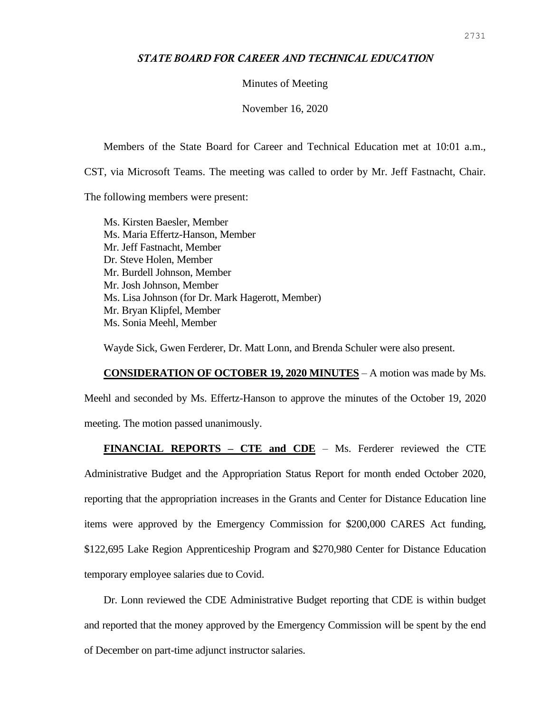## *STATE BOARD FOR CAREER AND TECHNICAL EDUCATION*

Minutes of Meeting

November 16, 2020

Members of the State Board for Career and Technical Education met at 10:01 a.m.,

CST, via Microsoft Teams. The meeting was called to order by Mr. Jeff Fastnacht, Chair.

The following members were present:

Ms. Kirsten Baesler, Member Ms. Maria Effertz-Hanson, Member Mr. Jeff Fastnacht, Member Dr. Steve Holen, Member Mr. Burdell Johnson, Member Mr. Josh Johnson, Member Ms. Lisa Johnson (for Dr. Mark Hagerott, Member) Mr. Bryan Klipfel, Member Ms. Sonia Meehl, Member

Wayde Sick, Gwen Ferderer, Dr. Matt Lonn, and Brenda Schuler were also present.

**CONSIDERATION OF OCTOBER 19, 2020 MINUTES** – A motion was made by Ms. Meehl and seconded by Ms. Effertz-Hanson to approve the minutes of the October 19, 2020 meeting. The motion passed unanimously.

**FINANCIAL REPORTS – CTE and CDE** – Ms. Ferderer reviewed the CTE

Administrative Budget and the Appropriation Status Report for month ended October 2020, reporting that the appropriation increases in the Grants and Center for Distance Education line items were approved by the Emergency Commission for \$200,000 CARES Act funding, \$122,695 Lake Region Apprenticeship Program and \$270,980 Center for Distance Education temporary employee salaries due to Covid.

Dr. Lonn reviewed the CDE Administrative Budget reporting that CDE is within budget and reported that the money approved by the Emergency Commission will be spent by the end of December on part-time adjunct instructor salaries.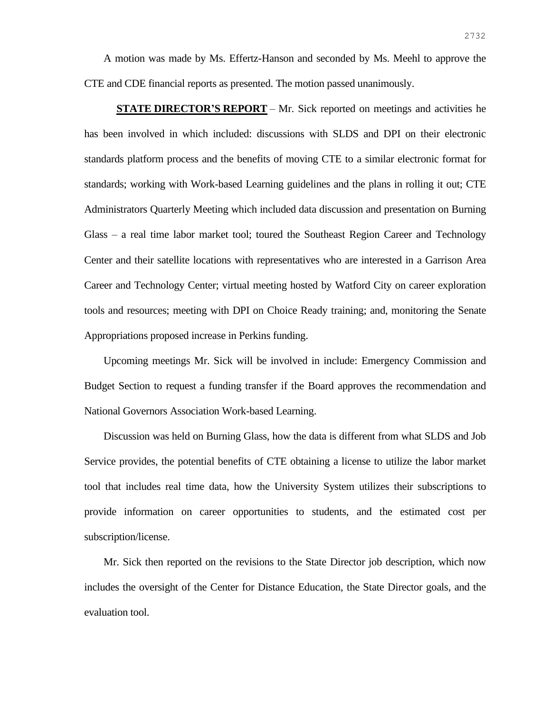A motion was made by Ms. Effertz-Hanson and seconded by Ms. Meehl to approve the CTE and CDE financial reports as presented. The motion passed unanimously.

**STATE DIRECTOR'S REPORT** – Mr. Sick reported on meetings and activities he has been involved in which included: discussions with SLDS and DPI on their electronic standards platform process and the benefits of moving CTE to a similar electronic format for standards; working with Work-based Learning guidelines and the plans in rolling it out; CTE Administrators Quarterly Meeting which included data discussion and presentation on Burning Glass – a real time labor market tool; toured the Southeast Region Career and Technology Center and their satellite locations with representatives who are interested in a Garrison Area Career and Technology Center; virtual meeting hosted by Watford City on career exploration tools and resources; meeting with DPI on Choice Ready training; and, monitoring the Senate Appropriations proposed increase in Perkins funding.

Upcoming meetings Mr. Sick will be involved in include: Emergency Commission and Budget Section to request a funding transfer if the Board approves the recommendation and National Governors Association Work-based Learning.

Discussion was held on Burning Glass, how the data is different from what SLDS and Job Service provides, the potential benefits of CTE obtaining a license to utilize the labor market tool that includes real time data, how the University System utilizes their subscriptions to provide information on career opportunities to students, and the estimated cost per subscription/license.

Mr. Sick then reported on the revisions to the State Director job description, which now includes the oversight of the Center for Distance Education, the State Director goals, and the evaluation tool.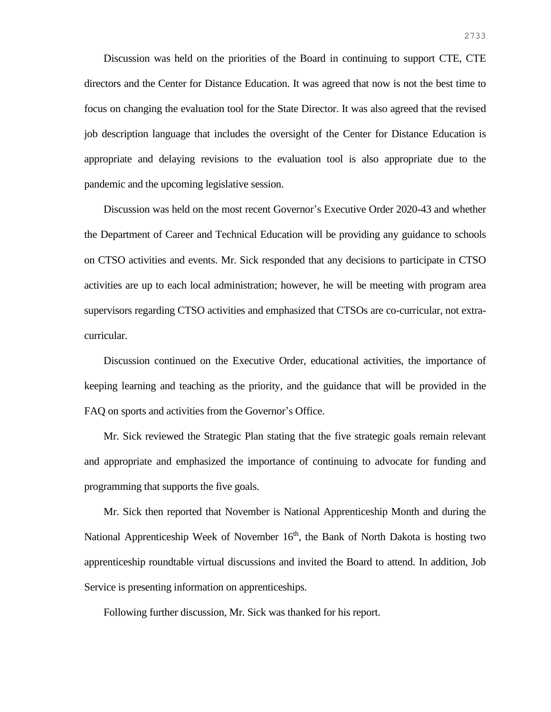Discussion was held on the priorities of the Board in continuing to support CTE, CTE directors and the Center for Distance Education. It was agreed that now is not the best time to focus on changing the evaluation tool for the State Director. It was also agreed that the revised job description language that includes the oversight of the Center for Distance Education is appropriate and delaying revisions to the evaluation tool is also appropriate due to the pandemic and the upcoming legislative session.

Discussion was held on the most recent Governor's Executive Order 2020-43 and whether the Department of Career and Technical Education will be providing any guidance to schools on CTSO activities and events. Mr. Sick responded that any decisions to participate in CTSO activities are up to each local administration; however, he will be meeting with program area supervisors regarding CTSO activities and emphasized that CTSOs are co-curricular, not extracurricular.

Discussion continued on the Executive Order, educational activities, the importance of keeping learning and teaching as the priority, and the guidance that will be provided in the FAQ on sports and activities from the Governor's Office.

Mr. Sick reviewed the Strategic Plan stating that the five strategic goals remain relevant and appropriate and emphasized the importance of continuing to advocate for funding and programming that supports the five goals.

Mr. Sick then reported that November is National Apprenticeship Month and during the National Apprenticeship Week of November  $16<sup>th</sup>$ , the Bank of North Dakota is hosting two apprenticeship roundtable virtual discussions and invited the Board to attend. In addition, Job Service is presenting information on apprenticeships.

Following further discussion, Mr. Sick was thanked for his report.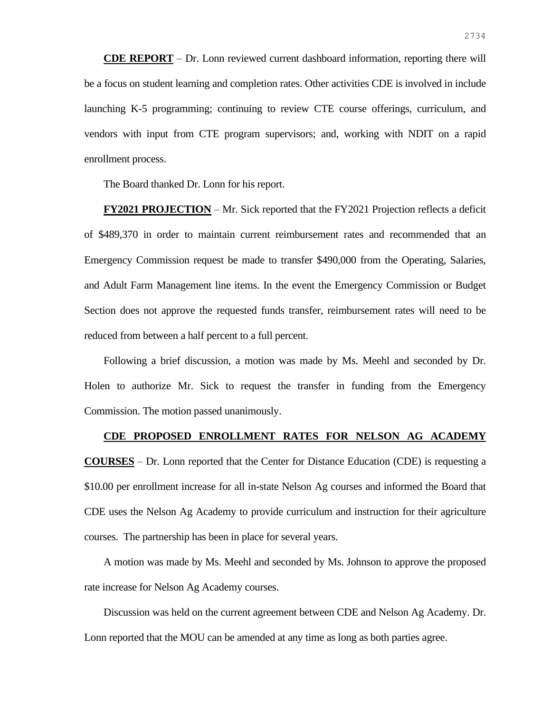**CDE REPORT** – Dr. Lonn reviewed current dashboard information, reporting there will be a focus on student learning and completion rates. Other activities CDE is involved in include launching K-5 programming; continuing to review CTE course offerings, curriculum, and vendors with input from CTE program supervisors; and, working with NDIT on a rapid enrollment process.

The Board thanked Dr. Lonn for his report.

**FY2021 PROJECTION** – Mr. Sick reported that the FY2021 Projection reflects a deficit of \$489,370 in order to maintain current reimbursement rates and recommended that an Emergency Commission request be made to transfer \$490,000 from the Operating, Salaries, and Adult Farm Management line items. In the event the Emergency Commission or Budget Section does not approve the requested funds transfer, reimbursement rates will need to be reduced from between a half percent to a full percent.

Following a brief discussion, a motion was made by Ms. Meehl and seconded by Dr. Holen to authorize Mr. Sick to request the transfer in funding from the Emergency Commission. The motion passed unanimously.

## **CDE PROPOSED ENROLLMENT RATES FOR NELSON AG ACADEMY**

**COURSES** – Dr. Lonn reported that the Center for Distance Education (CDE) is requesting a \$10.00 per enrollment increase for all in-state Nelson Ag courses and informed the Board that CDE uses the Nelson Ag Academy to provide curriculum and instruction for their agriculture courses. The partnership has been in place for several years.

A motion was made by Ms. Meehl and seconded by Ms. Johnson to approve the proposed rate increase for Nelson Ag Academy courses.

Discussion was held on the current agreement between CDE and Nelson Ag Academy. Dr. Lonn reported that the MOU can be amended at any time as long as both parties agree.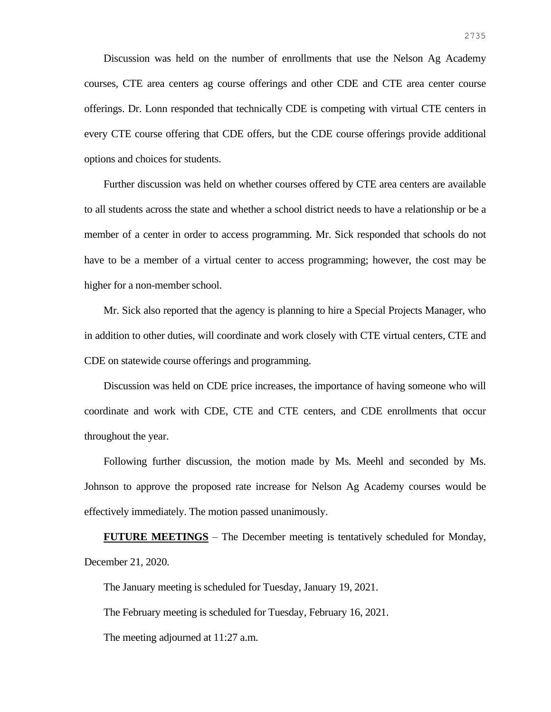Discussion was held on the number of enrollments that use the Nelson Ag Academy courses, CTE area centers ag course offerings and other CDE and CTE area center course offerings. Dr. Lonn responded that technically CDE is competing with virtual CTE centers in every CTE course offering that CDE offers, but the CDE course offerings provide additional options and choices for students.

Further discussion was held on whether courses offered by CTE area centers are available to all students across the state and whether a school district needs to have a relationship or be a member of a center in order to access programming. Mr. Sick responded that schools do not have to be a member of a virtual center to access programming; however, the cost may be higher for a non-member school.

Mr. Sick also reported that the agency is planning to hire a Special Projects Manager, who in addition to other duties, will coordinate and work closely with CTE virtual centers, CTE and CDE on statewide course offerings and programming.

Discussion was held on CDE price increases, the importance of having someone who will coordinate and work with CDE, CTE and CTE centers, and CDE enrollments that occur throughout the year.

Following further discussion, the motion made by Ms. Meehl and seconded by Ms. Johnson to approve the proposed rate increase for Nelson Ag Academy courses would be effectively immediately. The motion passed unanimously.

**FUTURE MEETINGS** – The December meeting is tentatively scheduled for Monday, December 21, 2020.

The January meeting is scheduled for Tuesday, January 19, 2021.

The February meeting is scheduled for Tuesday, February 16, 2021.

The meeting adjourned at 11:27 a.m.